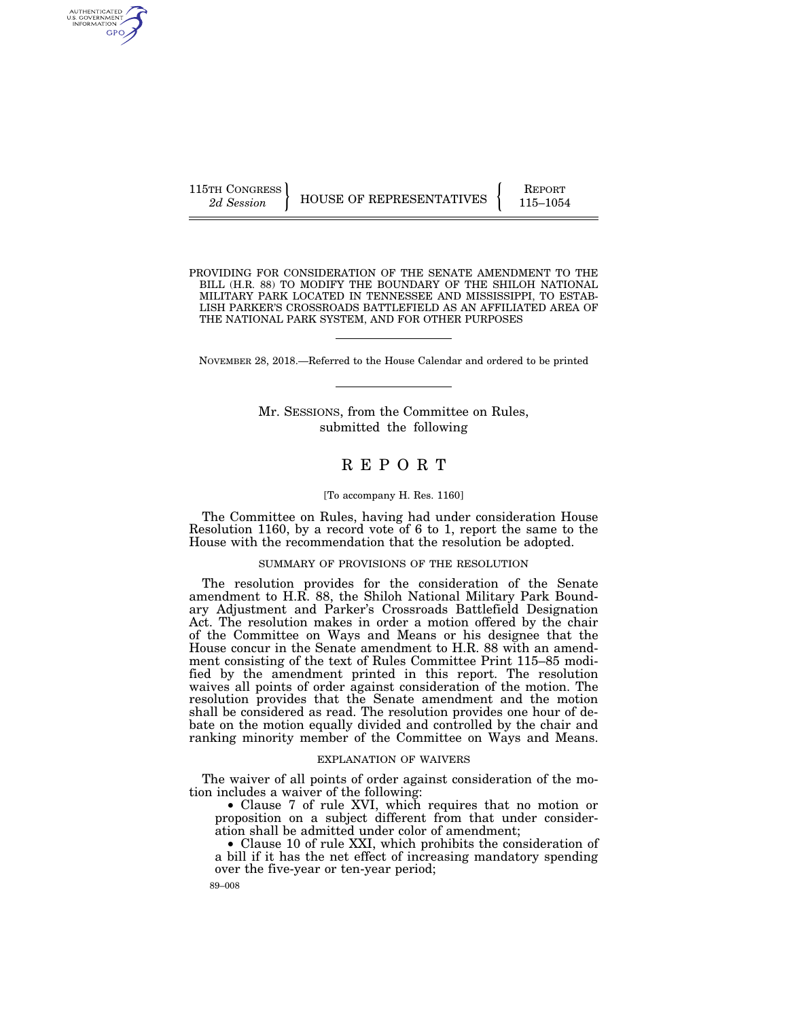AUTHENTICATED<br>U.S. GOVERNMENT<br>INFORMATION GPO

PROVIDING FOR CONSIDERATION OF THE SENATE AMENDMENT TO THE BILL (H.R. 88) TO MODIFY THE BOUNDARY OF THE SHILOH NATIONAL MILITARY PARK LOCATED IN TENNESSEE AND MISSISSIPPI, TO ESTAB-LISH PARKER'S CROSSROADS BATTLEFIELD AS AN AFFILIATED AREA OF THE NATIONAL PARK SYSTEM, AND FOR OTHER PURPOSES

NOVEMBER 28, 2018.—Referred to the House Calendar and ordered to be printed

# Mr. SESSIONS, from the Committee on Rules, submitted the following

# R E P O R T

#### [To accompany H. Res. 1160]

The Committee on Rules, having had under consideration House Resolution 1160, by a record vote of 6 to 1, report the same to the House with the recommendation that the resolution be adopted.

## SUMMARY OF PROVISIONS OF THE RESOLUTION

The resolution provides for the consideration of the Senate amendment to H.R. 88, the Shiloh National Military Park Boundary Adjustment and Parker's Crossroads Battlefield Designation Act. The resolution makes in order a motion offered by the chair of the Committee on Ways and Means or his designee that the House concur in the Senate amendment to H.R. 88 with an amendment consisting of the text of Rules Committee Print 115–85 modified by the amendment printed in this report. The resolution waives all points of order against consideration of the motion. The resolution provides that the Senate amendment and the motion shall be considered as read. The resolution provides one hour of debate on the motion equally divided and controlled by the chair and ranking minority member of the Committee on Ways and Means.

#### EXPLANATION OF WAIVERS

The waiver of all points of order against consideration of the motion includes a waiver of the following:

• Clause 7 of rule XVI, which requires that no motion or proposition on a subject different from that under consideration shall be admitted under color of amendment;

• Clause 10 of rule XXI, which prohibits the consideration of a bill if it has the net effect of increasing mandatory spending over the five-year or ten-year period;

89–008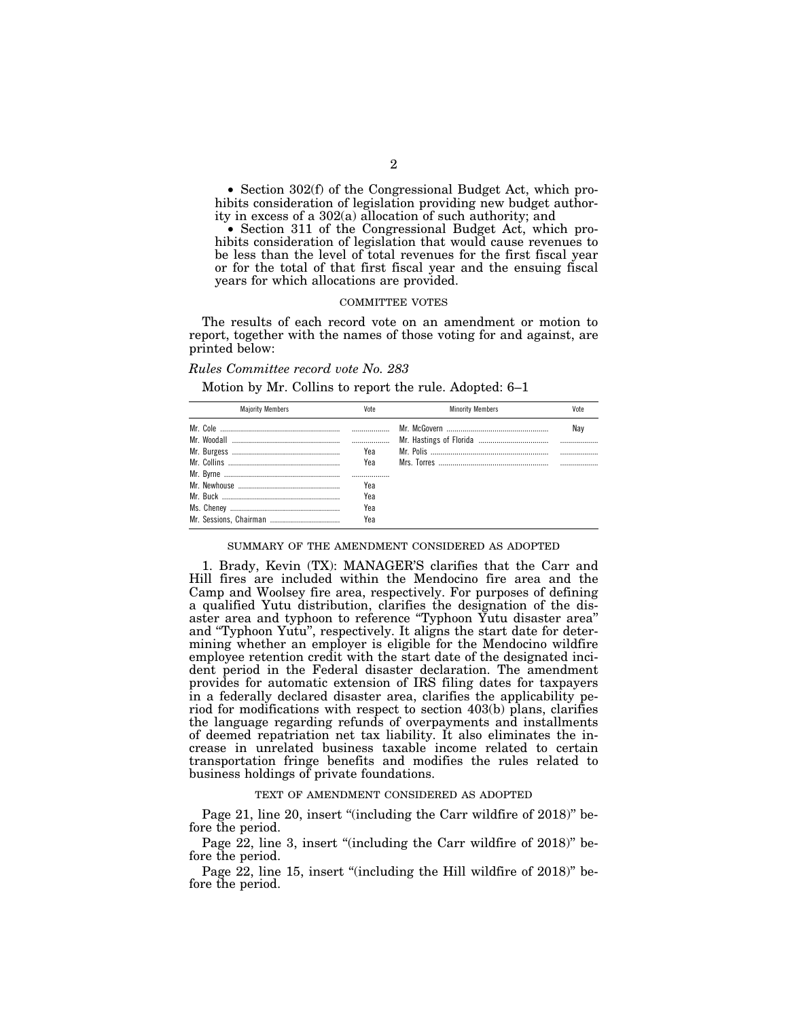• Section 302(f) of the Congressional Budget Act, which prohibits consideration of legislation providing new budget authority in excess of a 302(a) allocation of such authority; and

• Section 311 of the Congressional Budget Act, which prohibits consideration of legislation that would cause revenues to be less than the level of total revenues for the first fiscal year or for the total of that first fiscal year and the ensuing fiscal years for which allocations are provided.

#### COMMITTEE VOTES

The results of each record vote on an amendment or motion to report, together with the names of those voting for and against, are printed below:

## *Rules Committee record vote No. 283*

Motion by Mr. Collins to report the rule. Adopted: 6–1

| <b>Maiority Members</b> | Vote | <b>Minority Members</b> | Vote |
|-------------------------|------|-------------------------|------|
|                         |      |                         | Nav  |
|                         |      |                         |      |
|                         | Yea  |                         |      |
|                         | Yea  |                         |      |
|                         |      |                         |      |
|                         | Yea  |                         |      |
|                         | Yea  |                         |      |
|                         | Yea  |                         |      |
|                         | Yea  |                         |      |

#### SUMMARY OF THE AMENDMENT CONSIDERED AS ADOPTED

1. Brady, Kevin (TX): MANAGER'S clarifies that the Carr and Hill fires are included within the Mendocino fire area and the Camp and Woolsey fire area, respectively. For purposes of defining a qualified Yutu distribution, clarifies the designation of the disaster area and typhoon to reference ''Typhoon Yutu disaster area'' and ''Typhoon Yutu'', respectively. It aligns the start date for determining whether an employer is eligible for the Mendocino wildfire employee retention credit with the start date of the designated incident period in the Federal disaster declaration. The amendment provides for automatic extension of IRS filing dates for taxpayers in a federally declared disaster area, clarifies the applicability period for modifications with respect to section 403(b) plans, clarifies the language regarding refunds of overpayments and installments of deemed repatriation net tax liability. It also eliminates the increase in unrelated business taxable income related to certain transportation fringe benefits and modifies the rules related to business holdings of private foundations.

#### TEXT OF AMENDMENT CONSIDERED AS ADOPTED

Page 21, line 20, insert "(including the Carr wildfire of 2018)" before the period.

Page 22, line 3, insert "(including the Carr wildfire of 2018)" before the period.

Page 22, line 15, insert "(including the Hill wildfire of 2018)" before the period.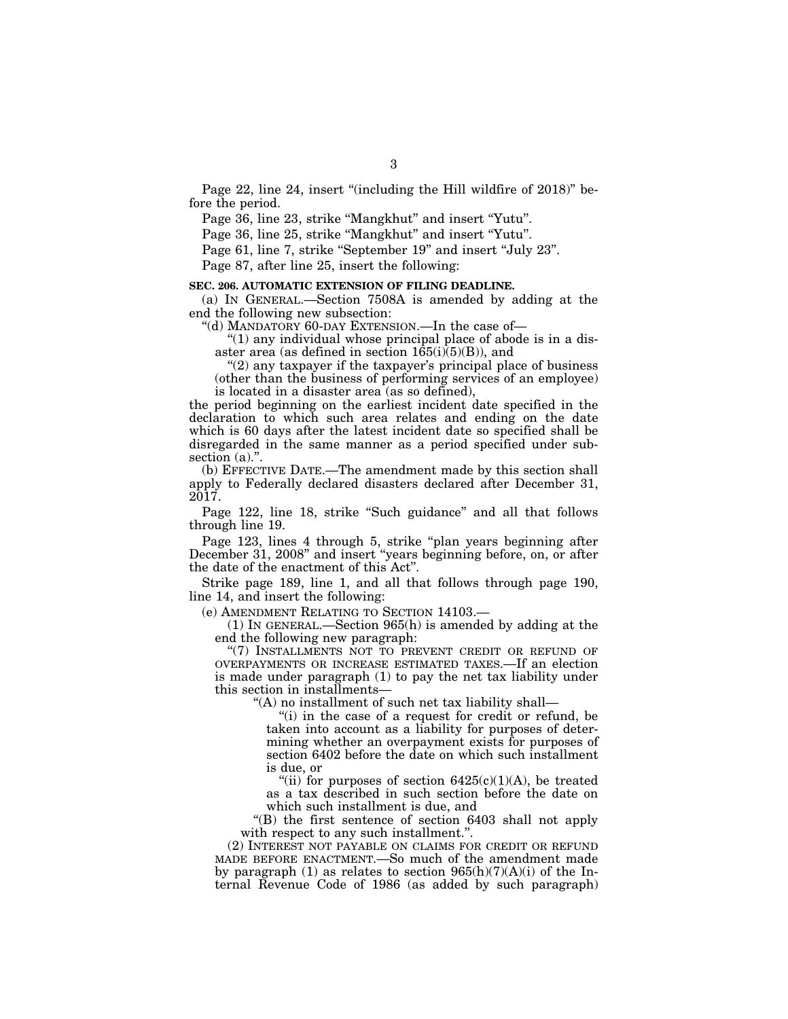Page 22, line 24, insert "(including the Hill wildfire of 2018)" before the period.

Page 36, line 23, strike "Mangkhut" and insert "Yutu".

Page 36, line 25, strike "Mangkhut" and insert "Yutu".

Page 61, line 7, strike "September 19" and insert "July 23".

Page 87, after line 25, insert the following:

# **SEC. 206. AUTOMATIC EXTENSION OF FILING DEADLINE.**

(a) IN GENERAL.—Section 7508A is amended by adding at the end the following new subsection:

''(d) MANDATORY 60-DAY EXTENSION.—In the case of—

" $(1)$  any individual whose principal place of abode is in a disaster area (as defined in section  $165(i)(5)(B)$ ), and

"(2) any taxpayer if the taxpayer's principal place of business (other than the business of performing services of an employee) is located in a disaster area (as so defined),

the period beginning on the earliest incident date specified in the declaration to which such area relates and ending on the date which is 60 days after the latest incident date so specified shall be disregarded in the same manner as a period specified under subsection (a).".

(b) EFFECTIVE DATE.—The amendment made by this section shall apply to Federally declared disasters declared after December 31, 2017.

Page 122, line 18, strike "Such guidance" and all that follows through line 19.

Page 123, lines 4 through 5, strike ''plan years beginning after December 31, 2008'' and insert ''years beginning before, on, or after the date of the enactment of this Act''.

Strike page 189, line 1, and all that follows through page 190, line 14, and insert the following:

(e) AMENDMENT RELATING TO SECTION 14103.—

(1) IN GENERAL.—Section 965(h) is amended by adding at the end the following new paragraph:

"(7) INSTALLMENTS NOT TO PREVENT CREDIT OR REFUND OF OVERPAYMENTS OR INCREASE ESTIMATED TAXES.—If an election is made under paragraph (1) to pay the net tax liability under this section in installments—

''(A) no installment of such net tax liability shall—

"(i) in the case of a request for credit or refund, be taken into account as a liability for purposes of determining whether an overpayment exists for purposes of section 6402 before the date on which such installment is due, or

"(ii) for purposes of section  $6425(c)(1)(A)$ , be treated as a tax described in such section before the date on which such installment is due, and

''(B) the first sentence of section 6403 shall not apply with respect to any such installment.''.

(2) INTEREST NOT PAYABLE ON CLAIMS FOR CREDIT OR REFUND MADE BEFORE ENACTMENT.—So much of the amendment made by paragraph (1) as relates to section  $965(h)(7)(A)(i)$  of the Internal Revenue Code of 1986 (as added by such paragraph)